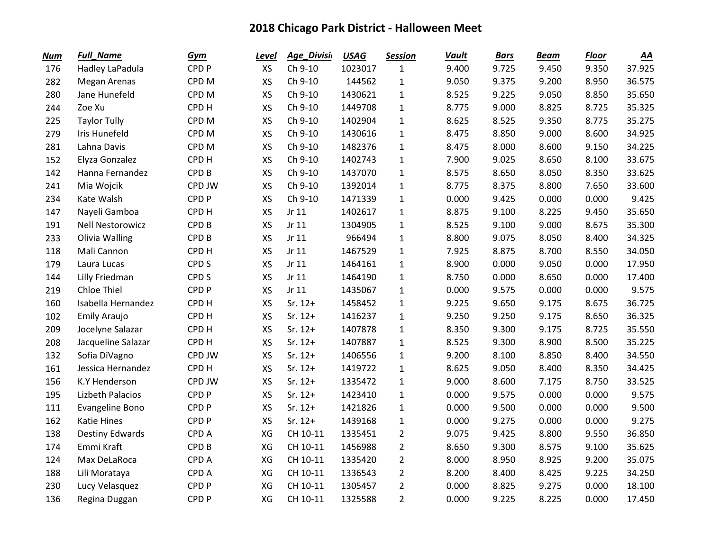| <b>Num</b> | <b>Full_Name</b>        | Gym              | <b>Level</b> | Age_Divisi | <b>USAG</b> | <b>Session</b> | <b>Vault</b> | <b>Bars</b> | <b>Beam</b> | <b>Floor</b> | $\underline{AA}$ |
|------------|-------------------------|------------------|--------------|------------|-------------|----------------|--------------|-------------|-------------|--------------|------------------|
| 176        | Hadley LaPadula         | CPD <sub>P</sub> | <b>XS</b>    | Ch 9-10    | 1023017     | $\mathbf{1}$   | 9.400        | 9.725       | 9.450       | 9.350        | 37.925           |
| 282        | Megan Arenas            | CPD <sub>M</sub> | XS           | Ch 9-10    | 144562      | $\mathbf{1}$   | 9.050        | 9.375       | 9.200       | 8.950        | 36.575           |
| 280        | Jane Hunefeld           | CPD <sub>M</sub> | <b>XS</b>    | Ch 9-10    | 1430621     | $\mathbf{1}$   | 8.525        | 9.225       | 9.050       | 8.850        | 35.650           |
| 244        | Zoe Xu                  | CPD H            | XS           | Ch 9-10    | 1449708     | $\mathbf 1$    | 8.775        | 9.000       | 8.825       | 8.725        | 35.325           |
| 225        | <b>Taylor Tully</b>     | CPD <sub>M</sub> | XS           | Ch 9-10    | 1402904     | $\mathbf{1}$   | 8.625        | 8.525       | 9.350       | 8.775        | 35.275           |
| 279        | Iris Hunefeld           | CPD <sub>M</sub> | XS           | Ch 9-10    | 1430616     | $\mathbf 1$    | 8.475        | 8.850       | 9.000       | 8.600        | 34.925           |
| 281        | Lahna Davis             | CPD <sub>M</sub> | <b>XS</b>    | Ch 9-10    | 1482376     | $\mathbf 1$    | 8.475        | 8.000       | 8.600       | 9.150        | 34.225           |
| 152        | Elyza Gonzalez          | CPD <sub>H</sub> | XS           | Ch 9-10    | 1402743     | $\mathbf 1$    | 7.900        | 9.025       | 8.650       | 8.100        | 33.675           |
| 142        | Hanna Fernandez         | CPD <sub>B</sub> | <b>XS</b>    | Ch 9-10    | 1437070     | $\mathbf{1}$   | 8.575        | 8.650       | 8.050       | 8.350        | 33.625           |
| 241        | Mia Wojcik              | CPD JW           | <b>XS</b>    | Ch 9-10    | 1392014     | $\mathbf 1$    | 8.775        | 8.375       | 8.800       | 7.650        | 33.600           |
| 234        | Kate Walsh              | CPD <sub>P</sub> | XS           | Ch 9-10    | 1471339     | $\mathbf{1}$   | 0.000        | 9.425       | 0.000       | 0.000        | 9.425            |
| 147        | Nayeli Gamboa           | CPD <sub>H</sub> | <b>XS</b>    | Jr 11      | 1402617     | $\mathbf 1$    | 8.875        | 9.100       | 8.225       | 9.450        | 35.650           |
| 191        | <b>Nell Nestorowicz</b> | CPD <sub>B</sub> | XS           | Jr $11$    | 1304905     | $\mathbf 1$    | 8.525        | 9.100       | 9.000       | 8.675        | 35.300           |
| 233        | Olivia Walling          | CPD <sub>B</sub> | <b>XS</b>    | Jr 11      | 966494      | $\mathbf{1}$   | 8.800        | 9.075       | 8.050       | 8.400        | 34.325           |
| 118        | Mali Cannon             | CPD <sub>H</sub> | XS           | Jr 11      | 1467529     | $\mathbf{1}$   | 7.925        | 8.875       | 8.700       | 8.550        | 34.050           |
| 179        | Laura Lucas             | CPD <sub>S</sub> | <b>XS</b>    | Jr 11      | 1464161     | $\mathbf{1}$   | 8.900        | 0.000       | 9.050       | 0.000        | 17.950           |
| 144        | Lilly Friedman          | CPD <sub>S</sub> | <b>XS</b>    | Jr 11      | 1464190     | $\mathbf{1}$   | 8.750        | 0.000       | 8.650       | 0.000        | 17.400           |
| 219        | <b>Chloe Thiel</b>      | CPD <sub>P</sub> | XS           | Jr $11$    | 1435067     | $\mathbf{1}$   | 0.000        | 9.575       | 0.000       | 0.000        | 9.575            |
| 160        | Isabella Hernandez      | CPD <sub>H</sub> | <b>XS</b>    | $Sr. 12+$  | 1458452     | $\mathbf{1}$   | 9.225        | 9.650       | 9.175       | 8.675        | 36.725           |
| 102        | Emily Araujo            | CPD <sub>H</sub> | XS           | $Sr. 12+$  | 1416237     | $\mathbf 1$    | 9.250        | 9.250       | 9.175       | 8.650        | 36.325           |
| 209        | Jocelyne Salazar        | CPD <sub>H</sub> | XS           | $Sr. 12+$  | 1407878     | $\mathbf 1$    | 8.350        | 9.300       | 9.175       | 8.725        | 35.550           |
| 208        | Jacqueline Salazar      | CPD <sub>H</sub> | XS           | $Sr. 12+$  | 1407887     | $\mathbf 1$    | 8.525        | 9.300       | 8.900       | 8.500        | 35.225           |
| 132        | Sofia DiVagno           | CPD JW           | XS           | $Sr. 12+$  | 1406556     | $\mathbf{1}$   | 9.200        | 8.100       | 8.850       | 8.400        | 34.550           |
| 161        | Jessica Hernandez       | CPD <sub>H</sub> | <b>XS</b>    | $Sr. 12+$  | 1419722     | $\mathbf 1$    | 8.625        | 9.050       | 8.400       | 8.350        | 34.425           |
| 156        | <b>K.Y Henderson</b>    | CPD JW           | XS           | $Sr. 12+$  | 1335472     | $\mathbf{1}$   | 9.000        | 8.600       | 7.175       | 8.750        | 33.525           |
| 195        | Lizbeth Palacios        | CPD <sub>P</sub> | XS           | $Sr. 12+$  | 1423410     | $\mathbf{1}$   | 0.000        | 9.575       | 0.000       | 0.000        | 9.575            |
| 111        | Evangeline Bono         | CPD <sub>P</sub> | XS           | $Sr. 12+$  | 1421826     | $\mathbf 1$    | 0.000        | 9.500       | 0.000       | 0.000        | 9.500            |
| 162        | <b>Katie Hines</b>      | CPD <sub>P</sub> | <b>XS</b>    | $Sr. 12+$  | 1439168     | $\mathbf{1}$   | 0.000        | 9.275       | 0.000       | 0.000        | 9.275            |
| 138        | <b>Destiny Edwards</b>  | CPD A            | XG           | CH 10-11   | 1335451     | $\overline{2}$ | 9.075        | 9.425       | 8.800       | 9.550        | 36.850           |
| 174        | Emmi Kraft              | CPD <sub>B</sub> | XG           | CH 10-11   | 1456988     | $\overline{2}$ | 8.650        | 9.300       | 8.575       | 9.100        | 35.625           |
| 124        | Max DeLaRoca            | CPD A            | XG           | CH 10-11   | 1335420     | $\overline{2}$ | 8.000        | 8.950       | 8.925       | 9.200        | 35.075           |
| 188        | Lili Morataya           | CPD A            | XG           | CH 10-11   | 1336543     | $\overline{2}$ | 8.200        | 8.400       | 8.425       | 9.225        | 34.250           |
| 230        | Lucy Velasquez          | CPD <sub>P</sub> | XG           | CH 10-11   | 1305457     | $\overline{2}$ | 0.000        | 8.825       | 9.275       | 0.000        | 18.100           |
| 136        | Regina Duggan           | CPD <sub>P</sub> | XG           | CH 10-11   | 1325588     | $\overline{2}$ | 0.000        | 9.225       | 8.225       | 0.000        | 17.450           |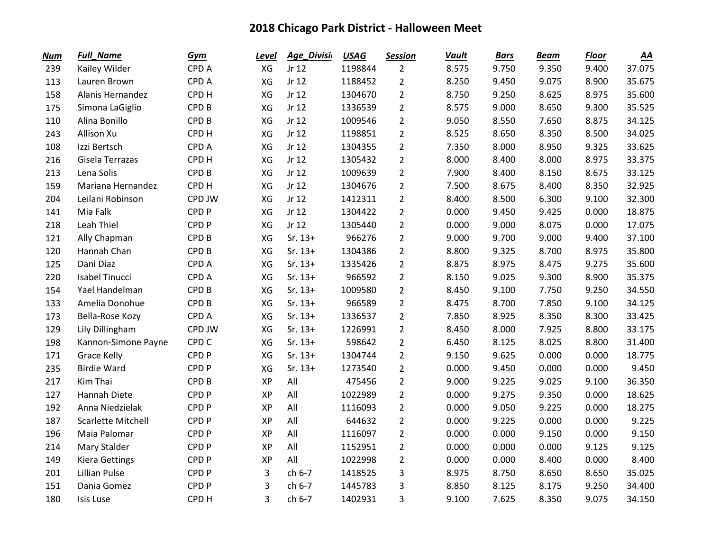| <b>Num</b> | <b>Full_Name</b>          | Gym              | Level     | Age_Divisi | <b>USAG</b> | <b>Session</b> | <b>Vault</b> | <b>Bars</b> | <b>Beam</b> | <b>Floor</b> | $\underline{AA}$ |
|------------|---------------------------|------------------|-----------|------------|-------------|----------------|--------------|-------------|-------------|--------------|------------------|
| 239        | Kailey Wilder             | CPD A            | XG        | Jr 12      | 1198844     | $\overline{2}$ | 8.575        | 9.750       | 9.350       | 9.400        | 37.075           |
| 113        | Lauren Brown              | <b>CPDA</b>      | XG        | Jr 12      | 1188452     | $\overline{2}$ | 8.250        | 9.450       | 9.075       | 8.900        | 35.675           |
| 158        | Alanis Hernandez          | CPD <sub>H</sub> | XG        | Jr 12      | 1304670     | $\overline{2}$ | 8.750        | 9.250       | 8.625       | 8.975        | 35.600           |
| 175        | Simona LaGiglio           | CPD <sub>B</sub> | XG        | Jr 12      | 1336539     | $\overline{2}$ | 8.575        | 9.000       | 8.650       | 9.300        | 35.525           |
| 110        | Alina Bonillo             | CPD <sub>B</sub> | XG        | Jr 12      | 1009546     | $\overline{2}$ | 9.050        | 8.550       | 7.650       | 8.875        | 34.125           |
| 243        | Allison Xu                | CPD <sub>H</sub> | XG        | Jr 12      | 1198851     | $\overline{2}$ | 8.525        | 8.650       | 8.350       | 8.500        | 34.025           |
| 108        | Izzi Bertsch              | CPD A            | XG        | Jr 12      | 1304355     | $\overline{2}$ | 7.350        | 8.000       | 8.950       | 9.325        | 33.625           |
| 216        | Gisela Terrazas           | CPD <sub>H</sub> | XG        | Jr 12      | 1305432     | $\overline{2}$ | 8.000        | 8.400       | 8.000       | 8.975        | 33.375           |
| 213        | Lena Solis                | CPD <sub>B</sub> | XG        | Jr 12      | 1009639     | $\overline{2}$ | 7.900        | 8.400       | 8.150       | 8.675        | 33.125           |
| 159        | Mariana Hernandez         | CPD <sub>H</sub> | XG        | Jr 12      | 1304676     | $\overline{2}$ | 7.500        | 8.675       | 8.400       | 8.350        | 32.925           |
| 204        | Leilani Robinson          | CPD JW           | XG        | Jr 12      | 1412311     | $\overline{2}$ | 8.400        | 8.500       | 6.300       | 9.100        | 32.300           |
| 141        | Mia Falk                  | CPD <sub>P</sub> | XG        | Jr 12      | 1304422     | $\overline{2}$ | 0.000        | 9.450       | 9.425       | 0.000        | 18.875           |
| 218        | Leah Thiel                | CPD <sub>P</sub> | XG        | Jr 12      | 1305440     | $\overline{2}$ | 0.000        | 9.000       | 8.075       | 0.000        | 17.075           |
| 121        | Ally Chapman              | CPD <sub>B</sub> | XG        | $Sr. 13+$  | 966276      | $\overline{2}$ | 9.000        | 9.700       | 9.000       | 9.400        | 37.100           |
| 120        | Hannah Chan               | CPD <sub>B</sub> | XG        | $Sr. 13+$  | 1304386     | $\overline{2}$ | 8.800        | 9.325       | 8.700       | 8.975        | 35.800           |
| 125        | Dani Diaz                 | <b>CPDA</b>      | XG        | $Sr. 13+$  | 1335426     | $\overline{2}$ | 8.875        | 8.975       | 8.475       | 9.275        | 35.600           |
| 220        | <b>Isabel Tinucci</b>     | CPD A            | XG        | $Sr. 13+$  | 966592      | $\overline{2}$ | 8.150        | 9.025       | 9.300       | 8.900        | 35.375           |
| 154        | Yael Handelman            | CPD <sub>B</sub> | XG        | $Sr. 13+$  | 1009580     | $\overline{2}$ | 8.450        | 9.100       | 7.750       | 9.250        | 34.550           |
| 133        | Amelia Donohue            | CPD <sub>B</sub> | XG        | $Sr. 13+$  | 966589      | $\overline{2}$ | 8.475        | 8.700       | 7.850       | 9.100        | 34.125           |
| 173        | Bella-Rose Kozy           | CPD A            | XG        | $Sr. 13+$  | 1336537     | $\overline{2}$ | 7.850        | 8.925       | 8.350       | 8.300        | 33.425           |
| 129        | Lily Dillingham           | CPD JW           | XG        | $Sr. 13+$  | 1226991     | $\overline{2}$ | 8.450        | 8.000       | 7.925       | 8.800        | 33.175           |
| 198        | Kannon-Simone Payne       | CPD <sub>C</sub> | XG        | $Sr. 13+$  | 598642      | $\overline{2}$ | 6.450        | 8.125       | 8.025       | 8.800        | 31.400           |
| 171        | <b>Grace Kelly</b>        | CPD <sub>P</sub> | XG        | $Sr. 13+$  | 1304744     | $\overline{2}$ | 9.150        | 9.625       | 0.000       | 0.000        | 18.775           |
| 235        | <b>Birdie Ward</b>        | CPD <sub>P</sub> | XG        | $Sr. 13+$  | 1273540     | $\overline{2}$ | 0.000        | 9.450       | 0.000       | 0.000        | 9.450            |
| 217        | Kim Thai                  | CPD <sub>B</sub> | <b>XP</b> | All        | 475456      | $\overline{2}$ | 9.000        | 9.225       | 9.025       | 9.100        | 36.350           |
| 127        | Hannah Diete              | CPD <sub>P</sub> | XP        | All        | 1022989     | $\overline{2}$ | 0.000        | 9.275       | 9.350       | 0.000        | 18.625           |
| 192        | Anna Niedzielak           | CPD <sub>P</sub> | XP        | All        | 1116093     | $\overline{2}$ | 0.000        | 9.050       | 9.225       | 0.000        | 18.275           |
| 187        | <b>Scarlette Mitchell</b> | CPD <sub>P</sub> | <b>XP</b> | All        | 644632      | $\overline{2}$ | 0.000        | 9.225       | 0.000       | 0.000        | 9.225            |
| 196        | Maia Palomar              | CPD <sub>P</sub> | <b>XP</b> | All        | 1116097     | $\overline{2}$ | 0.000        | 0.000       | 9.150       | 0.000        | 9.150            |
| 214        | Mary Stalder              | CPD <sub>P</sub> | <b>XP</b> | All        | 1152951     | $\overline{2}$ | 0.000        | 0.000       | 0.000       | 9.125        | 9.125            |
| 149        | <b>Kiera Gettings</b>     | CPD <sub>P</sub> | <b>XP</b> | All        | 1022998     | $\overline{2}$ | 0.000        | 0.000       | 8.400       | 0.000        | 8.400            |
| 201        | <b>Lillian Pulse</b>      | CPD <sub>P</sub> | 3         | ch 6-7     | 1418525     | 3              | 8.975        | 8.750       | 8.650       | 8.650        | 35.025           |
| 151        | Dania Gomez               | CPD <sub>P</sub> | 3         | ch 6-7     | 1445783     | 3              | 8.850        | 8.125       | 8.175       | 9.250        | 34.400           |
| 180        | Isis Luse                 | CPD <sub>H</sub> | 3         | ch 6-7     | 1402931     | 3              | 9.100        | 7.625       | 8.350       | 9.075        | 34.150           |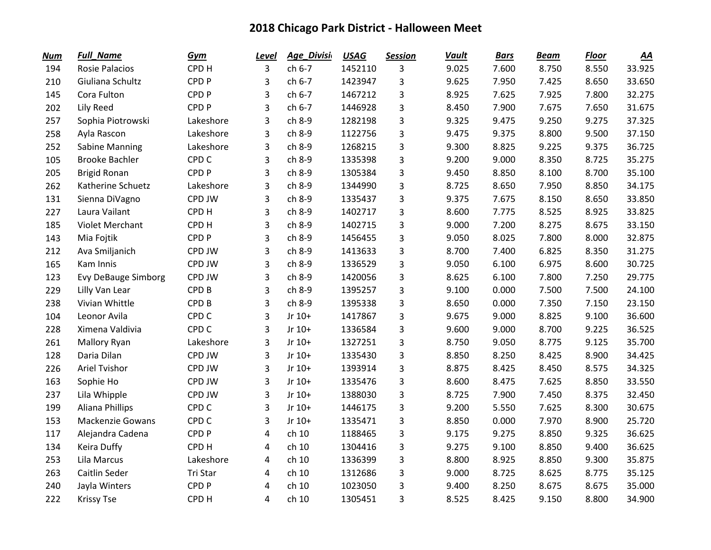| <b>Num</b> | <b>Full_Name</b>           | Gym              | <b>Level</b>   | Age Divisi | <b>USAG</b> | <b>Session</b> | <b>Vault</b> | <b>Bars</b> | <b>Beam</b> | <b>Floor</b> | $\underline{AA}$ |
|------------|----------------------------|------------------|----------------|------------|-------------|----------------|--------------|-------------|-------------|--------------|------------------|
| 194        | <b>Rosie Palacios</b>      | CPD H            | 3              | ch 6-7     | 1452110     | 3              | 9.025        | 7.600       | 8.750       | 8.550        | 33.925           |
| 210        | Giuliana Schultz           | CPD <sub>P</sub> | 3              | ch 6-7     | 1423947     | 3              | 9.625        | 7.950       | 7.425       | 8.650        | 33.650           |
| 145        | Cora Fulton                | CPD <sub>P</sub> | 3              | ch 6-7     | 1467212     | 3              | 8.925        | 7.625       | 7.925       | 7.800        | 32.275           |
| 202        | Lily Reed                  | CPD <sub>P</sub> | 3              | ch 6-7     | 1446928     | 3              | 8.450        | 7.900       | 7.675       | 7.650        | 31.675           |
| 257        | Sophia Piotrowski          | Lakeshore        | 3              | ch 8-9     | 1282198     | 3              | 9.325        | 9.475       | 9.250       | 9.275        | 37.325           |
| 258        | Ayla Rascon                | Lakeshore        | 3              | ch 8-9     | 1122756     | 3              | 9.475        | 9.375       | 8.800       | 9.500        | 37.150           |
| 252        | <b>Sabine Manning</b>      | Lakeshore        | 3              | ch 8-9     | 1268215     | 3              | 9.300        | 8.825       | 9.225       | 9.375        | 36.725           |
| 105        | <b>Brooke Bachler</b>      | CPD <sub>C</sub> | 3              | ch 8-9     | 1335398     | 3              | 9.200        | 9.000       | 8.350       | 8.725        | 35.275           |
| 205        | <b>Brigid Ronan</b>        | CPD <sub>P</sub> | 3              | ch 8-9     | 1305384     | 3              | 9.450        | 8.850       | 8.100       | 8.700        | 35.100           |
| 262        | Katherine Schuetz          | Lakeshore        | 3              | ch 8-9     | 1344990     | 3              | 8.725        | 8.650       | 7.950       | 8.850        | 34.175           |
| 131        | Sienna DiVagno             | CPD JW           | 3              | ch 8-9     | 1335437     | 3              | 9.375        | 7.675       | 8.150       | 8.650        | 33.850           |
| 227        | Laura Vailant              | CPD H            | 3              | ch 8-9     | 1402717     | 3              | 8.600        | 7.775       | 8.525       | 8.925        | 33.825           |
| 185        | <b>Violet Merchant</b>     | CPD <sub>H</sub> | 3              | ch 8-9     | 1402715     | 3              | 9.000        | 7.200       | 8.275       | 8.675        | 33.150           |
| 143        | Mia Fojtik                 | CPD <sub>P</sub> | 3              | ch 8-9     | 1456455     | 3              | 9.050        | 8.025       | 7.800       | 8.000        | 32.875           |
| 212        | Ava Smiljanich             | CPD JW           | 3              | ch 8-9     | 1413633     | 3              | 8.700        | 7.400       | 6.825       | 8.350        | 31.275           |
| 165        | Kam Innis                  | CPD JW           | 3              | ch 8-9     | 1336529     | 3              | 9.050        | 6.100       | 6.975       | 8.600        | 30.725           |
| 123        | <b>Evy DeBauge Simborg</b> | CPD JW           | 3              | ch 8-9     | 1420056     | 3              | 8.625        | 6.100       | 7.800       | 7.250        | 29.775           |
| 229        | Lilly Van Lear             | CPD <sub>B</sub> | 3              | ch 8-9     | 1395257     | 3              | 9.100        | 0.000       | 7.500       | 7.500        | 24.100           |
| 238        | Vivian Whittle             | CPD <sub>B</sub> | 3              | ch 8-9     | 1395338     | 3              | 8.650        | 0.000       | 7.350       | 7.150        | 23.150           |
| 104        | Leonor Avila               | CPD <sub>C</sub> | 3              | Jr 10+     | 1417867     | 3              | 9.675        | 9.000       | 8.825       | 9.100        | 36.600           |
| 228        | Ximena Valdivia            | CPD <sub>C</sub> | 3              | Jr 10+     | 1336584     | 3              | 9.600        | 9.000       | 8.700       | 9.225        | 36.525           |
| 261        | <b>Mallory Ryan</b>        | Lakeshore        | 3              | Jr 10+     | 1327251     | 3              | 8.750        | 9.050       | 8.775       | 9.125        | 35.700           |
| 128        | Daria Dilan                | CPD JW           | 3              | Jr 10+     | 1335430     | 3              | 8.850        | 8.250       | 8.425       | 8.900        | 34.425           |
| 226        | <b>Ariel Tvishor</b>       | CPD JW           | 3              | Jr 10+     | 1393914     | 3              | 8.875        | 8.425       | 8.450       | 8.575        | 34.325           |
| 163        | Sophie Ho                  | CPD JW           | 3              | Jr 10+     | 1335476     | 3              | 8.600        | 8.475       | 7.625       | 8.850        | 33.550           |
| 237        | Lila Whipple               | CPD JW           | 3              | Jr 10+     | 1388030     | 3              | 8.725        | 7.900       | 7.450       | 8.375        | 32.450           |
| 199        | Aliana Phillips            | CPD <sub>C</sub> | 3              | Jr 10+     | 1446175     | 3              | 9.200        | 5.550       | 7.625       | 8.300        | 30.675           |
| 153        | <b>Mackenzie Gowans</b>    | CPD <sub>C</sub> | 3              | Jr 10+     | 1335471     | 3              | 8.850        | 0.000       | 7.970       | 8.900        | 25.720           |
| 117        | Alejandra Cadena           | CPD <sub>P</sub> | 4              | ch 10      | 1188465     | 3              | 9.175        | 9.275       | 8.850       | 9.325        | 36.625           |
| 134        | Keira Duffy                | CPD <sub>H</sub> | 4              | ch 10      | 1304416     | 3              | 9.275        | 9.100       | 8.850       | 9.400        | 36.625           |
| 253        | Lila Marcus                | Lakeshore        | 4              | ch 10      | 1336399     | 3              | 8.800        | 8.925       | 8.850       | 9.300        | 35.875           |
| 263        | Caitlin Seder              | Tri Star         | 4              | ch 10      | 1312686     | 3              | 9.000        | 8.725       | 8.625       | 8.775        | 35.125           |
| 240        | Jayla Winters              | CPD <sub>P</sub> | 4              | ch 10      | 1023050     | 3              | 9.400        | 8.250       | 8.675       | 8.675        | 35.000           |
| 222        | <b>Krissy Tse</b>          | CPD <sub>H</sub> | $\overline{4}$ | ch 10      | 1305451     | 3              | 8.525        | 8.425       | 9.150       | 8.800        | 34.900           |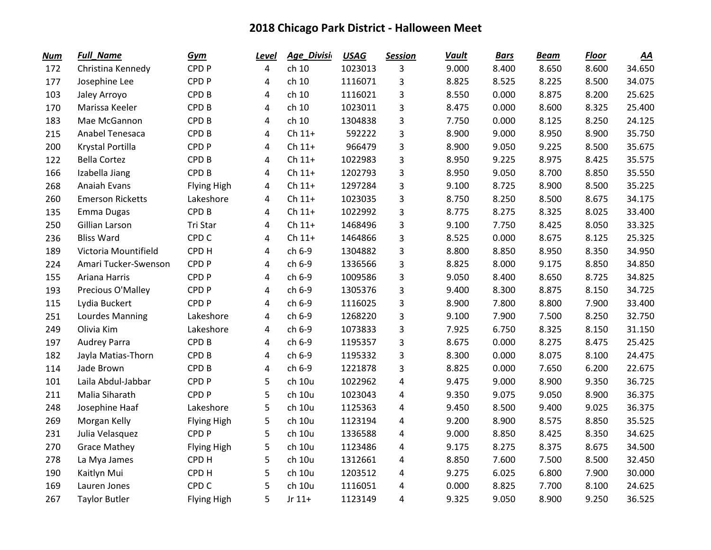| <b>Num</b> | <b>Full_Name</b>        | Gym                | Level          | Age_Divisi | <b>USAG</b> | <b>Session</b> | <b>Vault</b> | <b>Bars</b> | <b>Beam</b> | <b>Floor</b> | $\underline{AA}$ |
|------------|-------------------------|--------------------|----------------|------------|-------------|----------------|--------------|-------------|-------------|--------------|------------------|
| 172        | Christina Kennedy       | CPD <sub>P</sub>   | $\overline{4}$ | ch 10      | 1023013     | 3              | 9.000        | 8.400       | 8.650       | 8.600        | 34.650           |
| 177        | Josephine Lee           | CPD <sub>P</sub>   | 4              | ch 10      | 1116071     | 3              | 8.825        | 8.525       | 8.225       | 8.500        | 34.075           |
| 103        | Jaley Arroyo            | CPD <sub>B</sub>   | 4              | ch 10      | 1116021     | 3              | 8.550        | 0.000       | 8.875       | 8.200        | 25.625           |
| 170        | Marissa Keeler          | CPD <sub>B</sub>   | 4              | ch 10      | 1023011     | 3              | 8.475        | 0.000       | 8.600       | 8.325        | 25.400           |
| 183        | Mae McGannon            | CPD <sub>B</sub>   | 4              | ch 10      | 1304838     | 3              | 7.750        | 0.000       | 8.125       | 8.250        | 24.125           |
| 215        | Anabel Tenesaca         | CPD <sub>B</sub>   | 4              | $Ch 11+$   | 592222      | 3              | 8.900        | 9.000       | 8.950       | 8.900        | 35.750           |
| 200        | Krystal Portilla        | CPD <sub>P</sub>   | $\overline{4}$ | $Ch 11+$   | 966479      | 3              | 8.900        | 9.050       | 9.225       | 8.500        | 35.675           |
| 122        | <b>Bella Cortez</b>     | CPD <sub>B</sub>   | 4              | $Ch 11+$   | 1022983     | 3              | 8.950        | 9.225       | 8.975       | 8.425        | 35.575           |
| 166        | Izabella Jiang          | CPD <sub>B</sub>   | 4              | $Ch 11+$   | 1202793     | 3              | 8.950        | 9.050       | 8.700       | 8.850        | 35.550           |
| 268        | Anaiah Evans            | Flying High        | 4              | $Ch 11+$   | 1297284     | 3              | 9.100        | 8.725       | 8.900       | 8.500        | 35.225           |
| 260        | <b>Emerson Ricketts</b> | Lakeshore          | 4              | $Ch 11+$   | 1023035     | 3              | 8.750        | 8.250       | 8.500       | 8.675        | 34.175           |
| 135        | Emma Dugas              | CPD <sub>B</sub>   | 4              | $Ch 11+$   | 1022992     | 3              | 8.775        | 8.275       | 8.325       | 8.025        | 33.400           |
| 250        | Gillian Larson          | Tri Star           | 4              | $Ch 11+$   | 1468496     | 3              | 9.100        | 7.750       | 8.425       | 8.050        | 33.325           |
| 236        | <b>Bliss Ward</b>       | CPD <sub>C</sub>   | 4              | $Ch 11+$   | 1464866     | 3              | 8.525        | 0.000       | 8.675       | 8.125        | 25.325           |
| 189        | Victoria Mountifield    | CPD H              | $\overline{4}$ | ch 6-9     | 1304882     | 3              | 8.800        | 8.850       | 8.950       | 8.350        | 34.950           |
| 224        | Amari Tucker-Swenson    | CPD <sub>P</sub>   | 4              | ch 6-9     | 1336566     | 3              | 8.825        | 8.000       | 9.175       | 8.850        | 34.850           |
| 155        | Ariana Harris           | CPD <sub>P</sub>   | 4              | ch 6-9     | 1009586     | 3              | 9.050        | 8.400       | 8.650       | 8.725        | 34.825           |
| 193        | Precious O'Malley       | CPD <sub>P</sub>   | 4              | ch 6-9     | 1305376     | 3              | 9.400        | 8.300       | 8.875       | 8.150        | 34.725           |
| 115        | Lydia Buckert           | CPD <sub>P</sub>   | 4              | ch 6-9     | 1116025     | 3              | 8.900        | 7.800       | 8.800       | 7.900        | 33.400           |
| 251        | Lourdes Manning         | Lakeshore          | 4              | ch 6-9     | 1268220     | 3              | 9.100        | 7.900       | 7.500       | 8.250        | 32.750           |
| 249        | Olivia Kim              | Lakeshore          | 4              | ch 6-9     | 1073833     | 3              | 7.925        | 6.750       | 8.325       | 8.150        | 31.150           |
| 197        | <b>Audrey Parra</b>     | CPD <sub>B</sub>   | 4              | ch 6-9     | 1195357     | 3              | 8.675        | 0.000       | 8.275       | 8.475        | 25.425           |
| 182        | Jayla Matias-Thorn      | CPD <sub>B</sub>   | 4              | ch 6-9     | 1195332     | 3              | 8.300        | 0.000       | 8.075       | 8.100        | 24.475           |
| 114        | Jade Brown              | CPD <sub>B</sub>   | 4              | ch 6-9     | 1221878     | 3              | 8.825        | 0.000       | 7.650       | 6.200        | 22.675           |
| 101        | Laila Abdul-Jabbar      | CPD <sub>P</sub>   | 5              | ch 10u     | 1022962     | 4              | 9.475        | 9.000       | 8.900       | 9.350        | 36.725           |
| 211        | Malia Siharath          | CPD <sub>P</sub>   | 5              | ch 10u     | 1023043     | 4              | 9.350        | 9.075       | 9.050       | 8.900        | 36.375           |
| 248        | Josephine Haaf          | Lakeshore          | 5              | ch 10u     | 1125363     | 4              | 9.450        | 8.500       | 9.400       | 9.025        | 36.375           |
| 269        | Morgan Kelly            | <b>Flying High</b> | 5              | ch 10u     | 1123194     | 4              | 9.200        | 8.900       | 8.575       | 8.850        | 35.525           |
| 231        | Julia Velasquez         | CPD <sub>P</sub>   | 5              | ch 10u     | 1336588     | 4              | 9.000        | 8.850       | 8.425       | 8.350        | 34.625           |
| 270        | <b>Grace Mathey</b>     | <b>Flying High</b> | 5              | ch 10u     | 1123486     | 4              | 9.175        | 8.275       | 8.375       | 8.675        | 34.500           |
| 278        | La Mya James            | CPD H              | 5              | ch 10u     | 1312661     | 4              | 8.850        | 7.600       | 7.500       | 8.500        | 32.450           |
| 190        | Kaitlyn Mui             | CPD H              | 5              | ch 10u     | 1203512     | 4              | 9.275        | 6.025       | 6.800       | 7.900        | 30.000           |
| 169        | Lauren Jones            | CPD <sub>C</sub>   | 5              | ch 10u     | 1116051     | 4              | 0.000        | 8.825       | 7.700       | 8.100        | 24.625           |
| 267        | <b>Taylor Butler</b>    | <b>Flying High</b> | 5              | Jr $11+$   | 1123149     | 4              | 9.325        | 9.050       | 8.900       | 9.250        | 36.525           |